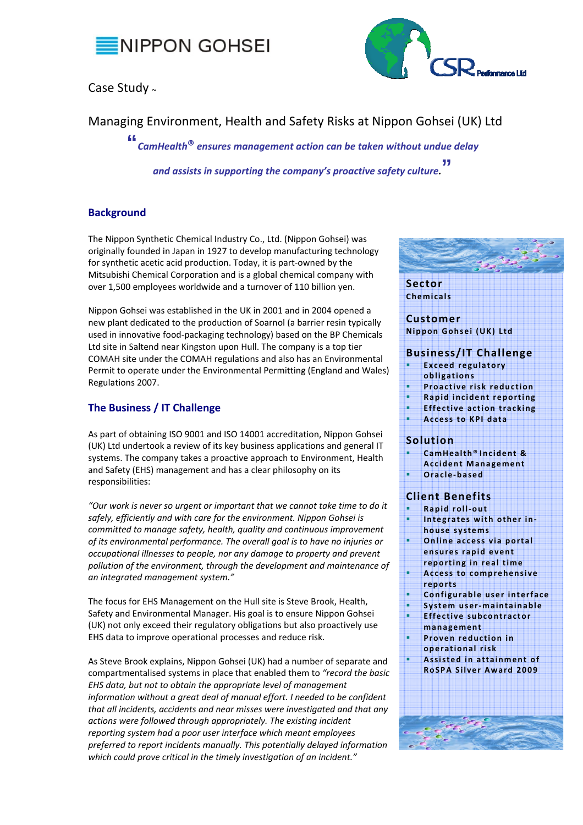

# Case Study <sup>~</sup>



Managing Environment, Health and Safety Risks at Nippon Gohsei (UK) Ltd

**"** *CamHealth***®** *ensures management action can be taken without undue delay* 

*and assists in supporting the company's proactive safety culture.***"**

## **Background**

The Nippon Synthetic Chemical Industry Co., Ltd. (Nippon Gohsei) was originally founded in Japan in 1927 to develop manufacturing technology for synthetic acetic acid production. Today, it is part‐owned by the Mitsubishi Chemical Corporation and is a global chemical company with over 1,500 employees worldwide and a turnover of 110 billion yen.

Nippon Gohsei was established in the UK in 2001 and in 2004 opened a new plant dedicated to the production of Soarnol (a barrier resin typically used in innovative food‐packaging technology) based on the BP Chemicals Ltd site in Saltend near Kingston upon Hull. The company is a top tier COMAH site under the COMAH regulations and also has an Environmental Permit to operate under the Environmental Permitting (England and Wales) Regulations 2007.

### **The Business / IT Challenge**

As part of obtaining ISO 9001 and ISO 14001 accreditation, Nippon Gohsei (UK) Ltd undertook a review of its key business applications and general IT systems. The company takes a proactive approach to Environment, Health and Safety (EHS) management and has a clear philosophy on its responsibilities:

*"Our work is never so urgent or important that we cannot take time to do it safely, efficiently and with care for the environment. Nippon Gohsei is committed to manage safety, health, quality and continuous improvement of its environmental performance. The overall goal is to have no injuries or occupational illnesses to people, nor any damage to property and prevent pollution of the environment, through the development and maintenance of an integrated management system."*

The focus for EHS Management on the Hull site is Steve Brook, Health, Safety and Environmental Manager. His goal is to ensure Nippon Gohsei (UK) not only exceed their regulatory obligations but also proactively use EHS data to improve operational processes and reduce risk.

As Steve Brook explains, Nippon Gohsei (UK) had a number of separate and compartmentalised systems in place that enabled them to *"record the basic EHS data, but not to obtain the appropriate level of management information without a great deal of manual effort. I needed to be confident that all incidents, accidents and near misses were investigated and that any actions were followed through appropriately. The existing incident reporting system had a poor user interface which meant employees preferred to report incidents manually. This potentially delayed information which could prove critical in the timely investigation of an incident."* 

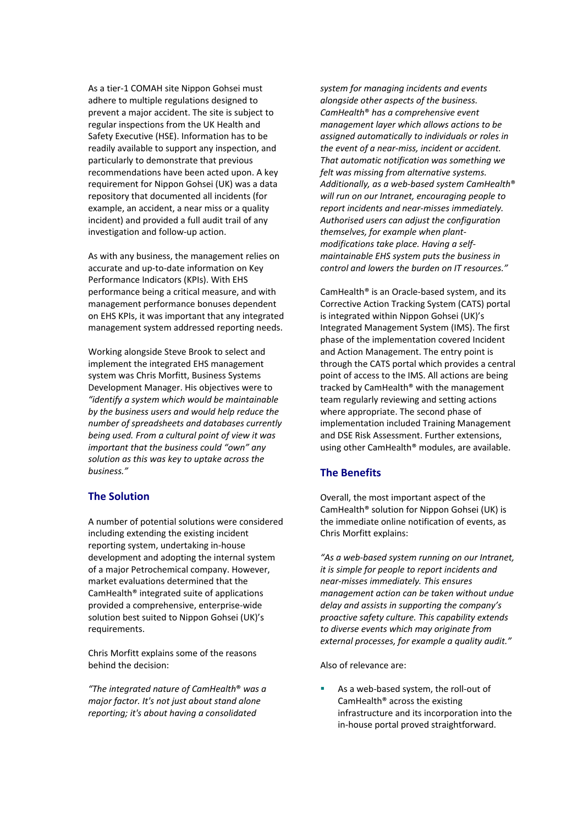As a tier‐1 COMAH site Nippon Gohsei must adhere to multiple regulations designed to prevent a major accident. The site is subject to regular inspections from the UK Health and Safety Executive (HSE). Information has to be readily available to support any inspection, and particularly to demonstrate that previous recommendations have been acted upon. A key requirement for Nippon Gohsei (UK) was a data repository that documented all incidents (for example, an accident, a near miss or a quality incident) and provided a full audit trail of any investigation and follow‐up action.

As with any business, the management relies on accurate and up‐to‐date information on Key Performance Indicators (KPIs). With EHS performance being a critical measure, and with management performance bonuses dependent on EHS KPIs, it was important that any integrated management system addressed reporting needs.

Working alongside Steve Brook to select and implement the integrated EHS management system was Chris Morfitt, Business Systems Development Manager. His objectives were to *"identify a system which would be maintainable by the business users and would help reduce the number of spreadsheets and databases currently being used. From a cultural point of view it was important that the business could "own" any solution as this was key to uptake across the business."* 

#### **The Solution**

A number of potential solutions were considered including extending the existing incident reporting system, undertaking in‐house development and adopting the internal system of a major Petrochemical company. However, market evaluations determined that the CamHealth® integrated suite of applications provided a comprehensive, enterprise‐wide solution best suited to Nippon Gohsei (UK)'s requirements.

Chris Morfitt explains some of the reasons behind the decision:

*"The integrated nature of CamHealth*® *was a major factor. It's not just about stand alone reporting; it's about having a consolidated*

*system for managing incidents and events alongside other aspects of the business. CamHealth*® *has a comprehensive event management layer which allows actions to be assigned automatically to individuals or roles in the event of a near‐miss, incident or accident. That automatic notification was something we felt was missing from alternative systems. Additionally, as a web‐based system CamHealth*® *will run on our Intranet, encouraging people to report incidents and near‐misses immediately. Authorised users can adjust the configuration themselves, for example when plant‐ modifications take place. Having a self‐ maintainable EHS system puts the business in control and lowers the burden on IT resources."*

CamHealth® is an Oracle‐based system, and its Corrective Action Tracking System (CATS) portal is integrated within Nippon Gohsei (UK)'s Integrated Management System (IMS). The first phase of the implementation covered Incident and Action Management. The entry point is through the CATS portal which provides a central point of access to the IMS. All actions are being tracked by CamHealth® with the management team regularly reviewing and setting actions where appropriate. The second phase of implementation included Training Management and DSE Risk Assessment. Further extensions, using other CamHealth® modules, are available.

#### **The Benefits**

Overall, the most important aspect of the CamHealth® solution for Nippon Gohsei (UK) is the immediate online notification of events, as Chris Morfitt explains:

*"As a web‐based system running on our Intranet, it is simple for people to report incidents and near‐misses immediately. This ensures management action can be taken without undue delay and assists in supporting the company's proactive safety culture. This capability extends to diverse events which may originate from external processes, for example a quality audit."*

Also of relevance are:

■ As a web-based system, the roll-out of CamHealth® across the existing infrastructure and its incorporation into the in‐house portal proved straightforward.